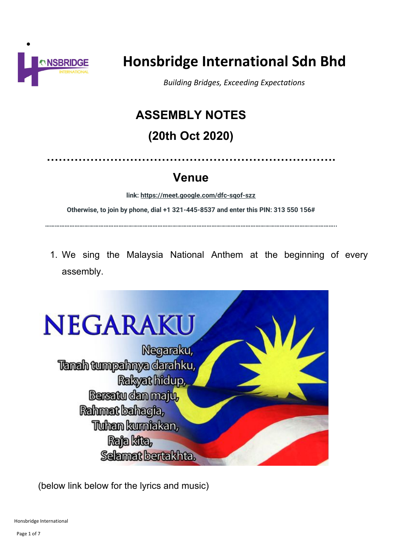

# **Honsbridge International Sdn Bhd**

*Building Bridges, Exceeding Expectations*

## **ASSEMBLY NOTES**

## **(20th Oct 2020)**

**……………………………………………………………….**

## **Venue**

**link: <https://meet.google.com/dfc-sqof-szz>**

**Otherwise, to join by phone, dial +1 321-445-8537 and enter this PIN: 313 550 156#**

**……………………………………………………………………………………………………………………………………………………………..**

1. We sing the Malaysia National Anthem at the beginning of every assembly.



(below link below for the lyrics and music)

Honsbridge International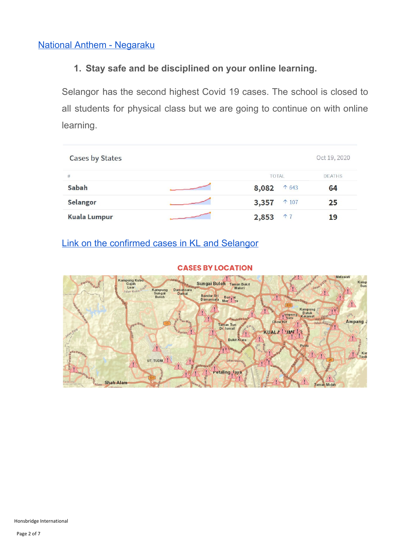## **1. Stay safe and be disciplined on your online learning.**

Selangor has the second highest Covid 19 cases. The school is closed to all students for physical class but we are going to continue on with online learning.

| <b>Cases by States</b> |                         | Oct 19, 2020  |
|------------------------|-------------------------|---------------|
| #                      | <b>TOTAL</b>            | <b>DEATHS</b> |
| Sabah                  | 8,082<br>↑ 643          | 64            |
| Selangor               | 3,357<br>$\uparrow$ 107 | 25            |
| <b>Kuala Lumpur</b>    | 17<br>2,853             | 19            |

## Link on the [confirmed](https://www.nst.com.my/covid-19/index.html) cases in KL and Selangor

#### **CASES BY LOCATION**

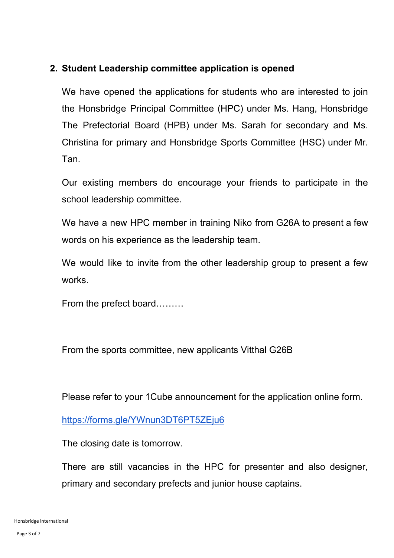## **2. Student Leadership committee application is opened**

We have opened the applications for students who are interested to join the Honsbridge Principal Committee (HPC) under Ms. Hang, Honsbridge The Prefectorial Board (HPB) under Ms. Sarah for secondary and Ms. Christina for primary and Honsbridge Sports Committee (HSC) under Mr. Tan.

Our existing members do encourage your friends to participate in the school leadership committee.

We have a new HPC member in training Niko from G26A to present a few words on his experience as the leadership team.

We would like to invite from the other leadership group to present a few works.

From the prefect board………

From the sports committee, new applicants Vitthal G26B

Please refer to your 1Cube announcement for the application online form.

<https://forms.gle/YWnun3DT6PT5ZEju6>

The closing date is tomorrow.

There are still vacancies in the HPC for presenter and also designer, primary and secondary prefects and junior house captains.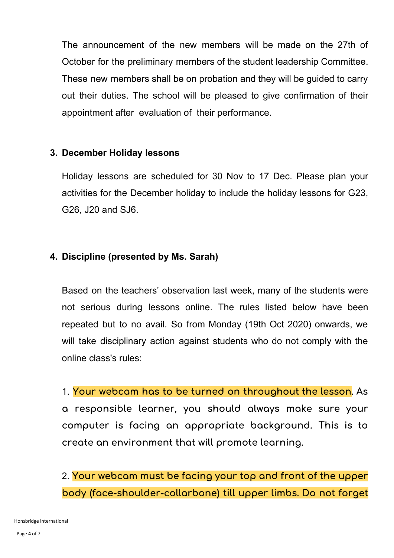The announcement of the new members will be made on the 27th of October for the preliminary members of the student leadership Committee. These new members shall be on probation and they will be guided to carry out their duties. The school will be pleased to give confirmation of their appointment after evaluation of their performance.

### **3. December Holiday lessons**

Holiday lessons are scheduled for 30 Nov to 17 Dec. Please plan your activities for the December holiday to include the holiday lessons for G23, G26, J20 and SJ6.

### **4. Discipline (presented by Ms. Sarah)**

Based on the teachers' observation last week, many of the students were not serious during lessons online. The rules listed below have been repeated but to no avail. So from Monday (19th Oct 2020) onwards, we will take disciplinary action against students who do not comply with the online class's rules:

1. **Your webcam has to be turned on throughout the lesson. As a responsible learner, you should always make sure your computer is facing an appropriate background. This is to create an environment that will promote learning.**

2. **Your webcam must be facing your top and front of the upper body (face-shoulder-collarbone) till upper limbs. Do not forget**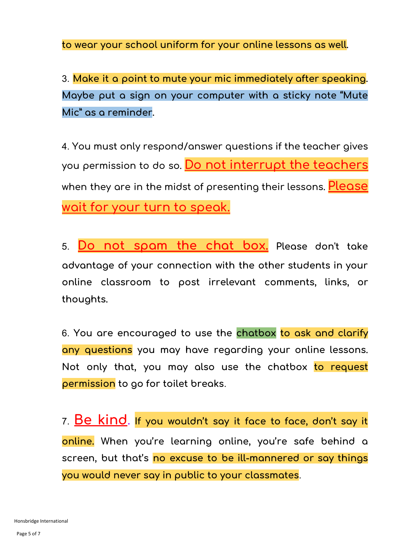**to wear your school uniform for your online lessons as well.**

3. **Make it a point to mute your mic immediately after speaking. Maybe put a sign on your computer with a sticky note "Mute Mic" as a reminder.**

4. **You must only respond/answer questions if the teacher gives you permission to do so. Do not interrupt the teachers when they are in the midst of presenting their lessons. Please wait for your turn to speak.**

5. **Do not spam the chat box. Please don't take advantage of your connection with the other students in your online classroom to post irrelevant comments, links, or thoughts.**

6. **You are encouraged to use the chatbox to ask and clarify any questions you may have regarding your online lessons. Not only that, you may also use the chatbox to request permission to go for toilet breaks**.

7. **Be kind. If you wouldn't say it face to face, don't say it online. When you're learning online, you're safe behind a screen, but that's no excuse to be ill-mannered or say things you would never say in public to your classmates**.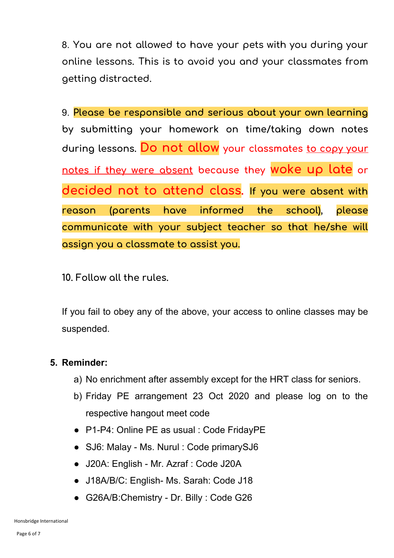8. **You are not allowed to have your pets with you during your online lessons. This is to avoid you and your classmates from getting distracted.**

9. **Please be responsible and serious about your own learning by submitting your homework on time/taking down notes during lessons. Do not allow your classmates to copy your notes if they were absent because they woke up late or decided not to attend class. If you were absent with reason (parents have informed the school), please communicate with your subject teacher so that he/she will assign you a classmate to assist you.**

**10. Follow all the rules.**

If you fail to obey any of the above, your access to online classes may be suspended.

### **5. Reminder:**

- a) No enrichment after assembly except for the HRT class for seniors.
- b) Friday PE arrangement 23 Oct 2020 and please log on to the respective hangout meet code
- P1-P4: Online PE as usual : Code FridayPE
- SJ6: Malay Ms. Nurul : Code primarySJ6
- J20A: English Mr. Azraf : Code J20A
- J18A/B/C: English- Ms. Sarah: Code J18
- G26A/B:Chemistry Dr. Billy : Code G26